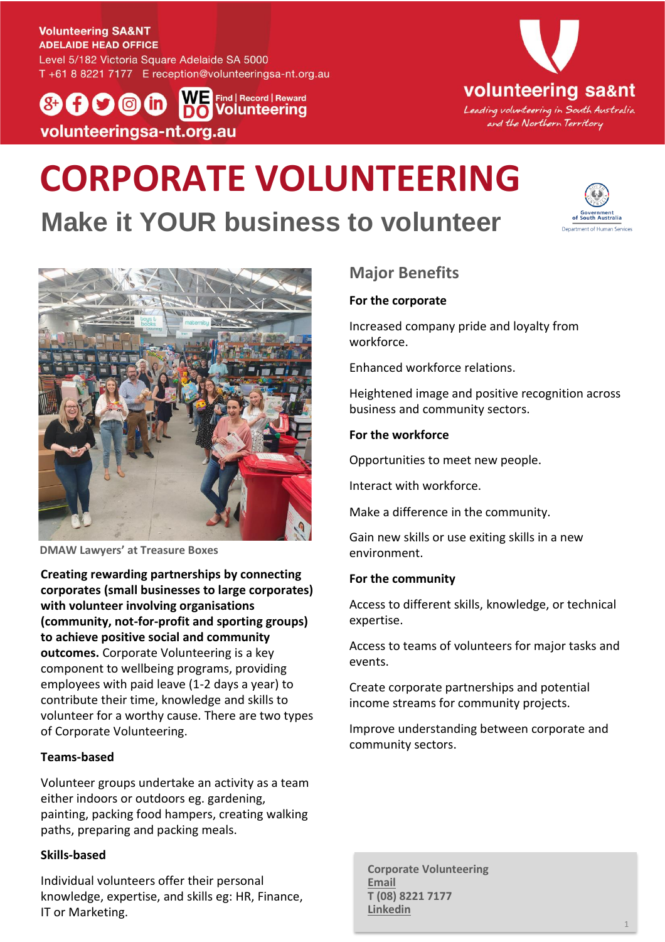#### **Volunteering SA&NT ADELAIDE HEAD OFFICE**

Level 5/182 Victoria Square Adelaide SA 5000 T +61 8 8221 7177 E reception@volunteeringsa-nt.org.au

WE Find | Record | Reward  $(8+1)$   $(9)$   $(0)$   $(1)$ **Volunteering** volunteeringsa-nt.org.au



# **CORPORATE VOLUNTEERING Make it YOUR business to volunteer**





**DMAW Lawyers' at Treasure Boxes**

**Creating rewarding partnerships by connecting corporates (small businesses to large corporates) with volunteer involving organisations (community, not-for-profit and sporting groups) to achieve positive social and community outcomes.** Corporate Volunteering is a key component to wellbeing programs, providing employees with paid leave (1-2 days a year) to contribute their time, knowledge and skills to volunteer for a worthy cause. There are two types of Corporate Volunteering.

### **Teams-based**

Volunteer groups undertake an activity as a team either indoors or outdoors eg. gardening, painting, packing food hampers, creating walking paths, preparing and packing meals.

### **Skills-based**

Individual volunteers offer their personal knowledge, expertise, and skills eg: HR, Finance, IT or Marketing.

## **Major Benefits**

#### **For the corporate**

Increased company pride and loyalty from workforce.

Enhanced workforce relations.

Heightened image and positive recognition across business and community sectors.

### **For the workforce**

Opportunities to meet new people.

Interact with workforce.

Make a difference in the community.

Gain new skills or use exiting skills in a new environment.

### **For the community**

Access to different skills, knowledge, or technical expertise.

Access to teams of volunteers for major tasks and events.

Create corporate partnerships and potential income streams for community projects.

Improve understanding between corporate and community sectors.

**Corporate Volunteering [Email](mailto:business@volunteeringsa-nt.org.au?subject=Corporate%20Volunteering%20enquiry) T (08) 8221 7177 [Linkedin](http://www.linkedin.com/company/volunteering-sa&nt)**